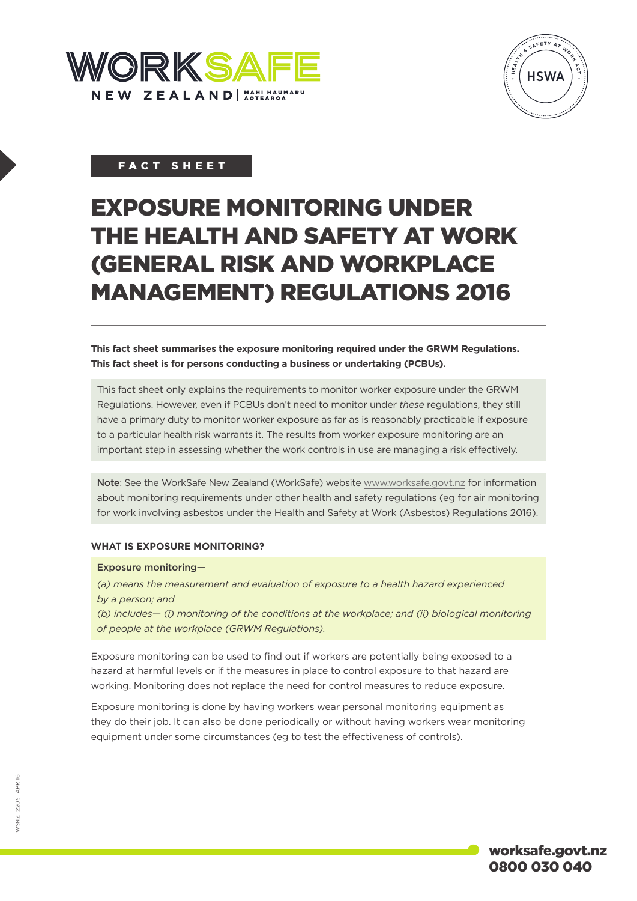



# FACT SHEET

# EXPOSURE MONITORING UNDER THE HEALTH AND SAFETY AT WORK (GENERAL RISK AND WORKPLACE MANAGEMENT) REGULATIONS 2016

**This fact sheet summarises the exposure monitoring required under the GRWM Regulations. This fact sheet is for persons conducting a business or undertaking (PCBUs).**

This fact sheet only explains the requirements to monitor worker exposure under the GRWM Regulations. However, even if PCBUs don't need to monitor under *these* regulations, they still have a primary duty to monitor worker exposure as far as is reasonably practicable if exposure to a particular health risk warrants it. The results from worker exposure monitoring are an important step in assessing whether the work controls in use are managing a risk effectively.

Note: See the WorkSafe New Zealand (WorkSafe) website [www.worksafe.govt.nz](http://www.worksafe.govt.nz/) for information about monitoring requirements under other health and safety regulations (eg for air monitoring for work involving asbestos under the Health and Safety at Work (Asbestos) Regulations 2016).

## **WHAT IS EXPOSURE MONITORING?**

#### Exposure monitoring—

*(a) means the measurement and evaluation of exposure to a health hazard experienced by a person; and*

*(b) includes— (i) monitoring of the conditions at the workplace; and (ii) biological monitoring of people at the workplace (GRWM Regulations).*

Exposure monitoring can be used to find out if workers are potentially being exposed to a hazard at harmful levels or if the measures in place to control exposure to that hazard are working. Monitoring does not replace the need for control measures to reduce exposure.

Exposure monitoring is done by having workers wear personal monitoring equipment as they do their job. It can also be done periodically or without having workers wear monitoring equipment under some circumstances (eg to test the effectiveness of controls).

worksafe.govt.nz 0800 030 040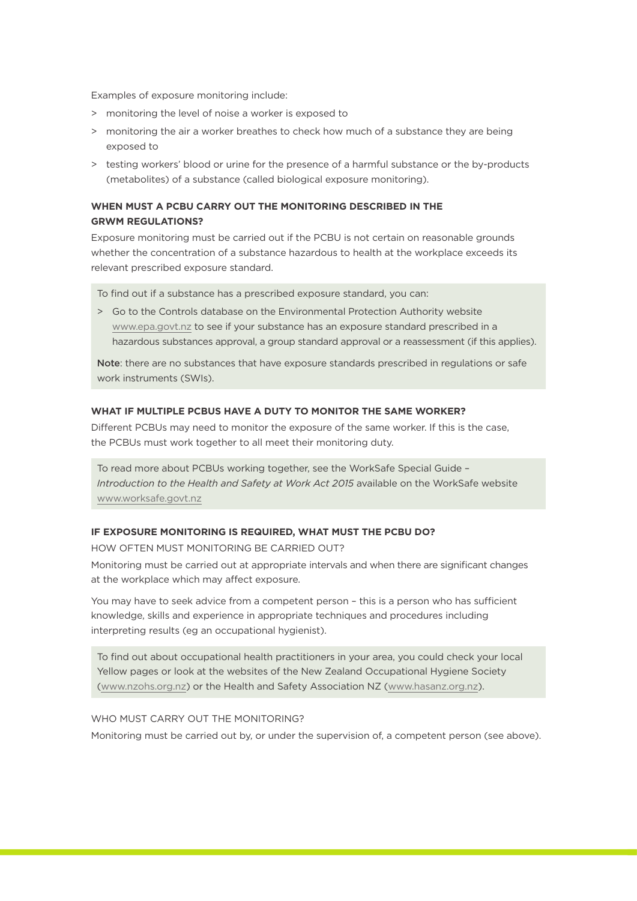Examples of exposure monitoring include:

- > monitoring the level of noise a worker is exposed to
- > monitoring the air a worker breathes to check how much of a substance they are being exposed to
- > testing workers' blood or urine for the presence of a harmful substance or the by-products (metabolites) of a substance (called biological exposure monitoring).

## **WHEN MUST A PCBU CARRY OUT THE MONITORING DESCRIBED IN THE GRWM REGULATIONS?**

Exposure monitoring must be carried out if the PCBU is not certain on reasonable grounds whether the concentration of a substance hazardous to health at the workplace exceeds its relevant prescribed exposure standard.

To find out if a substance has a prescribed exposure standard, you can:

> Go to the Controls database on the Environmental Protection Authority website [www.epa.govt.nz](http://www.epa.govt.nz/) to see if your substance has an exposure standard prescribed in a hazardous substances approval, a group standard approval or a reassessment (if this applies).

Note: there are no substances that have exposure standards prescribed in regulations or safe work instruments (SWIs).

#### **WHAT IF MULTIPLE PCBUS HAVE A DUTY TO MONITOR THE SAME WORKER?**

Different PCBUs may need to monitor the exposure of the same worker. If this is the case, the PCBUs must work together to all meet their monitoring duty.

To read more about PCBUs working together, see the WorkSafe Special Guide – *Introduction to the Health and Safety at Work Act 2015* available on the WorkSafe website [www.worksafe.govt.nz](http://www.worksafe.govt.nz/)

## **IF EXPOSURE MONITORING IS REQUIRED, WHAT MUST THE PCBU DO?**

HOW OFTEN MUST MONITORING BE CARRIED OUT?

Monitoring must be carried out at appropriate intervals and when there are significant changes at the workplace which may affect exposure.

You may have to seek advice from a competent person – this is a person who has sufficient knowledge, skills and experience in appropriate techniques and procedures including interpreting results (eg an occupational hygienist).

To find out about occupational health practitioners in your area, you could check your local Yellow pages or look at the websites of the New Zealand Occupational Hygiene Society ([www.nzohs.org.nz](http://www.nzohs.org.nz/)) or the Health and Safety Association NZ ([www.hasanz.org.nz\)](http://www.hasanz.org.nz/).

### WHO MUST CARRY OUT THE MONITORING?

Monitoring must be carried out by, or under the supervision of, a competent person (see above).